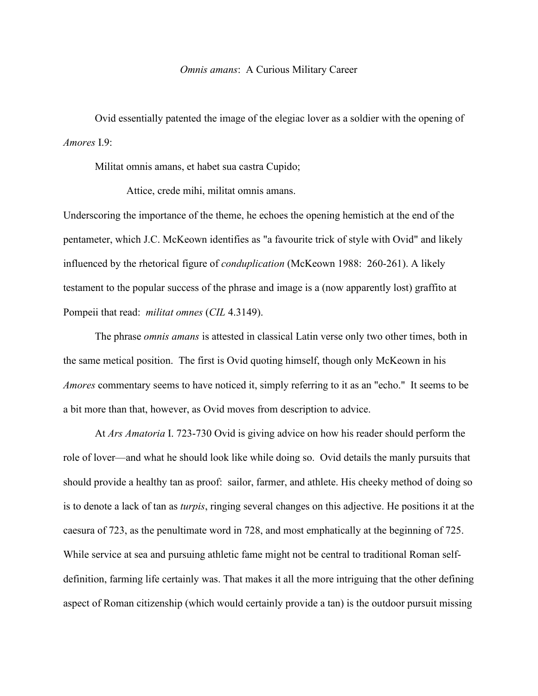## *Omnis amans*: A Curious Military Career

Ovid essentially patented the image of the elegiac lover as a soldier with the opening of *Amores* I.9:

Militat omnis amans, et habet sua castra Cupido;

Attice, crede mihi, militat omnis amans.

Underscoring the importance of the theme, he echoes the opening hemistich at the end of the pentameter, which J.C. McKeown identifies as "a favourite trick of style with Ovid" and likely influenced by the rhetorical figure of *conduplication* (McKeown 1988: 260-261). A likely testament to the popular success of the phrase and image is a (now apparently lost) graffito at Pompeii that read: *militat omnes* (*CIL* 4.3149).

The phrase *omnis amans* is attested in classical Latin verse only two other times, both in the same metical position. The first is Ovid quoting himself, though only McKeown in his *Amores* commentary seems to have noticed it, simply referring to it as an "echo." It seems to be a bit more than that, however, as Ovid moves from description to advice.

At *Ars Amatoria* I. 723-730 Ovid is giving advice on how his reader should perform the role of lover—and what he should look like while doing so. Ovid details the manly pursuits that should provide a healthy tan as proof: sailor, farmer, and athlete. His cheeky method of doing so is to denote a lack of tan as *turpis*, ringing several changes on this adjective. He positions it at the caesura of 723, as the penultimate word in 728, and most emphatically at the beginning of 725. While service at sea and pursuing athletic fame might not be central to traditional Roman selfdefinition, farming life certainly was. That makes it all the more intriguing that the other defining aspect of Roman citizenship (which would certainly provide a tan) is the outdoor pursuit missing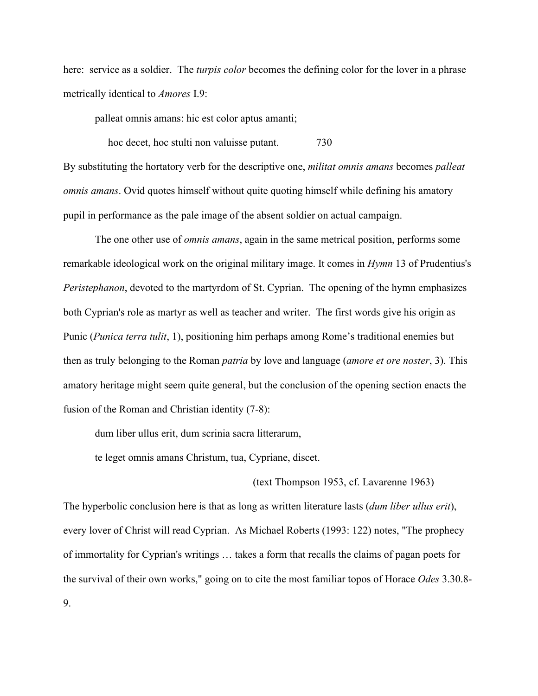here: service as a soldier. The *turpis color* becomes the defining color for the lover in a phrase metrically identical to *Amores* I.9:

palleat omnis amans: hic est color aptus amanti;

hoc decet, hoc stulti non valuisse putant.  $\frac{730}{ }$ By substituting the hortatory verb for the descriptive one, *militat omnis amans* becomes *palleat omnis amans*. Ovid quotes himself without quite quoting himself while defining his amatory pupil in performance as the pale image of the absent soldier on actual campaign.

The one other use of *omnis amans*, again in the same metrical position, performs some remarkable ideological work on the original military image. It comes in *Hymn* 13 of Prudentius's *Peristephanon*, devoted to the martyrdom of St. Cyprian. The opening of the hymn emphasizes both Cyprian's role as martyr as well as teacher and writer. The first words give his origin as Punic (*Punica terra tulit*, 1), positioning him perhaps among Rome's traditional enemies but then as truly belonging to the Roman *patria* by love and language (*amore et ore noster*, 3). This amatory heritage might seem quite general, but the conclusion of the opening section enacts the fusion of the Roman and Christian identity (7-8):

dum liber ullus erit, dum scrinia sacra litterarum,

te leget omnis amans Christum, tua, Cypriane, discet.

(text Thompson 1953, cf. Lavarenne 1963)

The hyperbolic conclusion here is that as long as written literature lasts (*dum liber ullus erit*), every lover of Christ will read Cyprian. As Michael Roberts (1993: 122) notes, "The prophecy of immortality for Cyprian's writings … takes a form that recalls the claims of pagan poets for the survival of their own works," going on to cite the most familiar topos of Horace *Odes* 3.30.8- 9.